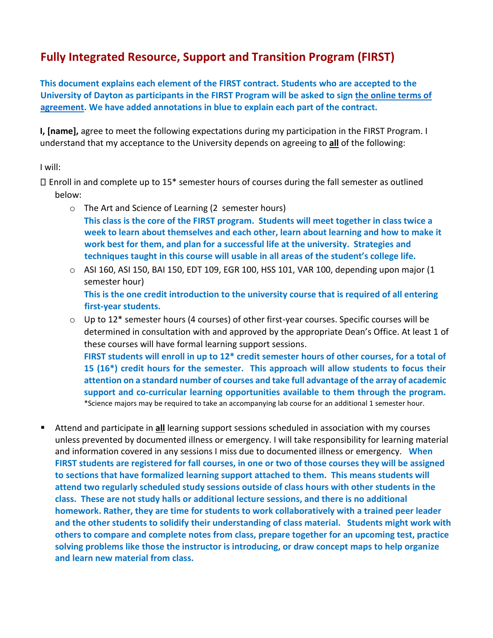## **Fully Integrated Resource, Support and Transition Program (FIRST)**

**This document explains each element of the FIRST contract. Students who are accepted to the University of Dayton as participants in the FIRST Program will be asked to sign [the online terms of](https://udayton.na1.echosign.com/public/esignWidget?wid=CBFCIBAA3AAABLblqZhC0X3zgFZgcLhbFl7boqZIUPzZI2TglSqPAEti3j03_FdgshJ8CgWTGzwdAzXHyePo*)  [agreement](https://udayton.na1.echosign.com/public/esignWidget?wid=CBFCIBAA3AAABLblqZhC0X3zgFZgcLhbFl7boqZIUPzZI2TglSqPAEti3j03_FdgshJ8CgWTGzwdAzXHyePo*)[.](https://udayton.na1.echosign.com/public/esignWidget?wid=CBFCIBAA3AAABLblqZhBhQrW07h7XnykzRo1pnhktglLEDIqpqeUHaMj8pLi1-4f-uWTrHdj7Hvnp2wH-YoU*) We have added annotations in blue to explain each part of the contract.** 

**I, [name],** agree to meet the following expectations during my participation in the FIRST Program. I understand that my acceptance to the University depends on agreeing to **all** of the following:

I will:

 $\Box$  Enroll in and complete up to 15\* semester hours of courses during the fall semester as outlined below:

- o The Art and Science of Learning (2 semester hours) **This class is the core of the FIRST program. Students will meet together in class twice a week to learn about themselves and each other, learn about learning and how to make it work best for them, and plan for a successful life at the university. Strategies and techniques taught in this course will usable in all areas of the student's college life.**
- $\circ$  ASI 160, ASI 150, BAI 150, EDT 109, EGR 100, HSS 101, VAR 100, depending upon major (1 semester hour) **This is the one credit introduction to the university course that is required of all entering first-year students.**
- $\circ$  Up to 12\* semester hours (4 courses) of other first-year courses. Specific courses will be determined in consultation with and approved by the appropriate Dean's Office. At least 1 of these courses will have formal learning support sessions. **FIRST students will enroll in up to 12\* credit semester hours of other courses, for a total of 15 (16\*) credit hours for the semester. This approach will allow students to focus their attention on a standard number of courses and take full advantage of the array of academic support and co-curricular learning opportunities available to them through the program.**  \*Science majors may be required to take an accompanying lab course for an additional 1 semester hour.
- Attend and participate in **all** learning support sessions scheduled in association with my courses unless prevented by documented illness or emergency. I will take responsibility for learning material and information covered in any sessions I miss due to documented illness or emergency. **When FIRST students are registered for fall courses, in one or two of those courses they will be assigned to sections that have formalized learning support attached to them. This means students will attend two regularly scheduled study sessions outside of class hours with other students in the class. These are not study halls or additional lecture sessions, and there is no additional homework. Rather, they are time for students to work collaboratively with a trained peer leader and the other students to solidify their understanding of class material. Students might work with others to compare and complete notes from class, prepare together for an upcoming test, practice solving problems like those the instructor is introducing, or draw concept maps to help organize and learn new material from class.**